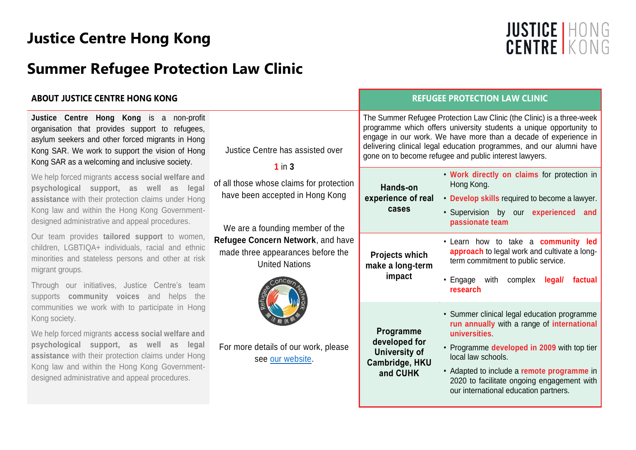# **Justice Centre Hong Kong**

# **Summer Refugee Protection Law Clinic**

## **ABOUT JUSTICE CENTRE HONG KONG**

**Justice Centre Hong Kong** is a non-profit organisation that provides support to refugees, asylum seekers and other forced migrants in Hong Kong SAR. We work to support the vision of Hong Kong SAR as a welcoming and inclusive society.

We help forced migrants **access social welfare and psychological support, as well as legal assistance** with their protection claims under Hong Kong law and within the Hong Kong Governmentdesigned administrative and appeal procedures.

Our team provides **tailored support** to women, children, LGBTIQA+ individuals, racial and ethnic minorities and stateless persons and other at risk migrant groups.

Through our initiatives, Justice Centre's team supports **community voices** and helps the communities we work with to participate in Hong Kong society.

We help forced migrants **access social welfare and psychological support, as well as legal assistance** with their protection claims under Hong Kong law and within the Hong Kong Governmentdesigned administrative and appeal procedures.

|                                                                                                                                                                                                                                                                                                                                 | <b>REFUGEE PROTECTION LAW CLINIC</b>                                             |                                                                                                                                                                                                                                                                                                                                                                                                                                                                                                                          |  |
|---------------------------------------------------------------------------------------------------------------------------------------------------------------------------------------------------------------------------------------------------------------------------------------------------------------------------------|----------------------------------------------------------------------------------|--------------------------------------------------------------------------------------------------------------------------------------------------------------------------------------------------------------------------------------------------------------------------------------------------------------------------------------------------------------------------------------------------------------------------------------------------------------------------------------------------------------------------|--|
| Justice Centre has assisted over<br>$1$ in $3$<br>of all those whose claims for protection<br>have been accepted in Hong Kong<br>We are a founding member of the<br>Refugee Concern Network, and have<br>made three appearances before the<br><b>United Nations</b><br>For more details of our work, please<br>see our website. | Hands-on<br>experience of real<br>cases                                          | The Summer Refugee Protection Law Clinic (the Clinic) is a three-week<br>programme which offers university students a unique opportunity to<br>engage in our work. We have more than a decade of experience in<br>delivering clinical legal education programmes, and our alumni have<br>gone on to become refugee and public interest lawyers.<br>. Work directly on claims for protection in<br>Hong Kong.<br>• Develop skills required to become a lawyer.<br>· Supervision by our experienced and<br>passionate team |  |
|                                                                                                                                                                                                                                                                                                                                 | <b>Projects which</b><br>make a long-term<br>impact                              | . Learn how to take a community led<br>approach to legal work and cultivate a long-<br>term commitment to public service.<br>• Engage with complex<br>legal/<br>factual<br>research                                                                                                                                                                                                                                                                                                                                      |  |
|                                                                                                                                                                                                                                                                                                                                 | Programme<br>developed for<br><b>University of</b><br>Cambridge, HKU<br>and CUHK | • Summer clinical legal education programme<br>run annually with a range of international<br>universities<br>• Programme developed in 2009 with top tier<br>local law schools.<br>• Adapted to include a remote programme in<br>2020 to facilitate ongoing engagement with<br>our international education partners.                                                                                                                                                                                                      |  |

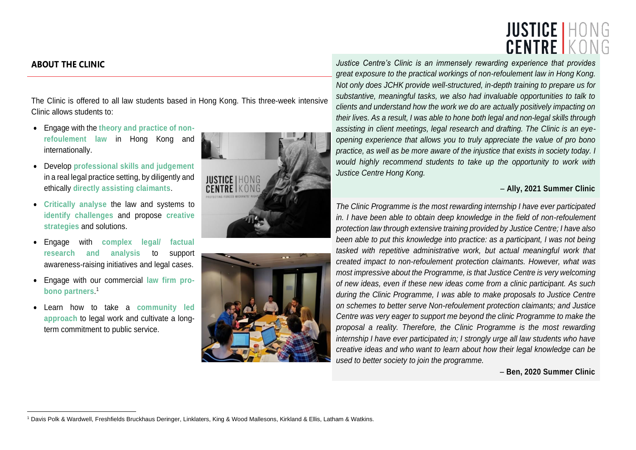# **JUSTICE | HONG CENTRE K**

The Clinic is offered to all law students based in Hong Kong. This three-week intensive Clinic allows students to:

- Engage with the **theory and practice of nonrefoulement law** in Hong Kong and internationally.
- Develop **professional skills and judgement** in a real legal practice setting, by diligently and ethically **directly assisting claimants**.
- **Critically analyse** the law and systems to **identify challenges** and propose **creative strategies** and solutions.
- Engage with **complex legal/ factual research and analysis** to support awareness-raising initiatives and legal cases.
- Engage with our commercial **law firm probono partners**. 1
- Learn how to take a **community led approach** to legal work and cultivate a longterm commitment to public service.





**ABOUT THE CLINIC** *Justice Centre's Clinic is an immensely rewarding experience that provides great exposure to the practical workings of non-refoulement law in Hong Kong. Not only does JCHK provide well-structured, in-depth training to prepare us for substantive, meaningful tasks, we also had invaluable opportunities to talk to clients and understand how the work we do are actually positively impacting on their lives. As a result, I was able to hone both legal and non-legal skills through assisting in client meetings, legal research and drafting. The Clinic is an eyeopening experience that allows you to truly appreciate the value of pro bono practice, as well as be more aware of the injustice that exists in society today. I would highly recommend students to take up the opportunity to work with Justice Centre Hong Kong.*

#### – **Ally, 2021 Summer Clinic**

*The Clinic Programme is the most rewarding internship I have ever participated in. I have been able to obtain deep knowledge in the field of non-refoulement protection law through extensive training provided by Justice Centre; I have also been able to put this knowledge into practice: as a participant, I was not being* tasked with repetitive administrative work, but actual meaningful work that *created impact to non-refoulement protection claimants. However, what was most impressive about the Programme, is that Justice Centre is very welcoming of new ideas, even if these new ideas come from a clinic participant. As such during the Clinic Programme, I was able to make proposals to Justice Centre on schemes to better serve Non-refoulement protection claimants; and Justice Centre was very eager to support me beyond the clinic Programme to make the proposal a reality. Therefore, the Clinic Programme is the most rewarding internship I have ever participated in; I strongly urge all law students who have creative ideas and who want to learn about how their legal knowledge can be used to better society to join the programme.*

– **Ben, 2020 Summer Clinic**

<sup>1</sup> Davis Polk & Wardwell, Freshfields Bruckhaus Deringer, Linklaters, King & Wood Mallesons, Kirkland & Ellis, Latham & Watkins.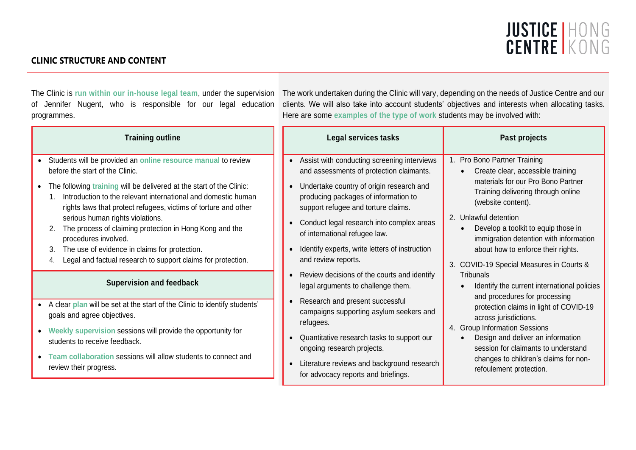# JUSTICE HONG<br>CENTRE KONG

## **CLINIC STRUCTURE AND CONTENT**

of Jennifer Nugent, who is responsible for our legal education programmes.

The Clinic is run within our in-house legal team, under the supervision The work undertaken during the Clinic will vary, depending on the needs of Justice Centre and our clients. We will also take into account students' objectives and interests when allocating tasks. Here are some **examples of the type of work** students may be involved with:

| <b>Training outline</b>                                                                                                                                                                                                                                                                                                                                                                                                                                                                                                                                                       | Legal services tasks                                                                                                                                                                                                                                                                                                                                                            | Past projects                                                                                                                                                                                                                                                                                                                                                                                                                                                       |
|-------------------------------------------------------------------------------------------------------------------------------------------------------------------------------------------------------------------------------------------------------------------------------------------------------------------------------------------------------------------------------------------------------------------------------------------------------------------------------------------------------------------------------------------------------------------------------|---------------------------------------------------------------------------------------------------------------------------------------------------------------------------------------------------------------------------------------------------------------------------------------------------------------------------------------------------------------------------------|---------------------------------------------------------------------------------------------------------------------------------------------------------------------------------------------------------------------------------------------------------------------------------------------------------------------------------------------------------------------------------------------------------------------------------------------------------------------|
| Students will be provided an online resource manual to review<br>before the start of the Clinic.<br>The following training will be delivered at the start of the Clinic:<br>$\bullet$<br>Introduction to the relevant international and domestic human<br>rights laws that protect refugees, victims of torture and other<br>serious human rights violations.<br>The process of claiming protection in Hong Kong and the<br>2.<br>procedures involved.<br>The use of evidence in claims for protection.<br>3.<br>Legal and factual research to support claims for protection. | • Assist with conducting screening interviews<br>and assessments of protection claimants.<br>• Undertake country of origin research and<br>producing packages of information to<br>support refugee and torture claims.<br>• Conduct legal research into complex areas<br>of international refugee law.<br>Identify experts, write letters of instruction<br>and review reports. | 1. Pro Bono Partner Training<br>Create clear, accessible training<br>materials for our Pro Bono Partner<br>Training delivering through online<br>(website content).<br>2. Unlawful detention<br>Develop a toolkit to equip those in<br>immigration detention with information<br>about how to enforce their rights.<br>3. COVID-19 Special Measures in Courts &<br><b>Tribunals</b><br>Identify the current international policies<br>and procedures for processing |
| <b>Supervision and feedback</b>                                                                                                                                                                                                                                                                                                                                                                                                                                                                                                                                               | • Review decisions of the courts and identify<br>legal arguments to challenge them.                                                                                                                                                                                                                                                                                             |                                                                                                                                                                                                                                                                                                                                                                                                                                                                     |
| A clear plan will be set at the start of the Clinic to identify students'<br>goals and agree objectives.<br>Weekly supervision sessions will provide the opportunity for<br>$\bullet$<br>students to receive feedback.<br>Team collaboration sessions will allow students to connect and<br>review their progress.                                                                                                                                                                                                                                                            | Research and present successful<br>campaigns supporting asylum seekers and<br>across jurisdictions.<br>refugees.<br>4. Group Information Sessions<br>Quantitative research tasks to support our<br>ongoing research projects.<br>Literature reviews and background research<br>refoulement protection.                                                                          | protection claims in light of COVID-19<br>Design and deliver an information<br>session for claimants to understand<br>changes to children's claims for non-                                                                                                                                                                                                                                                                                                         |
|                                                                                                                                                                                                                                                                                                                                                                                                                                                                                                                                                                               | for advocacy reports and briefings.                                                                                                                                                                                                                                                                                                                                             |                                                                                                                                                                                                                                                                                                                                                                                                                                                                     |